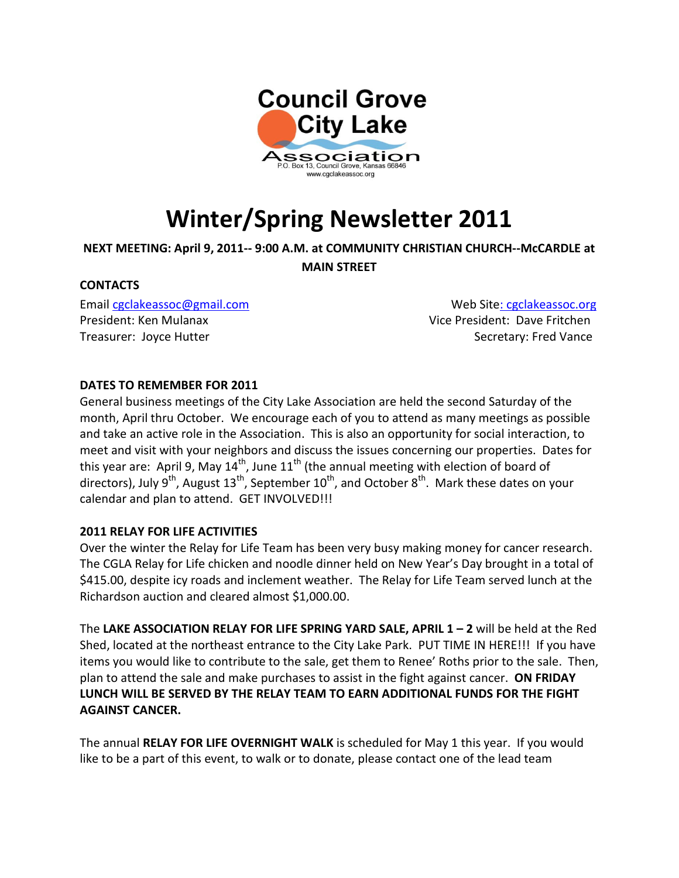

# **Winter/Spring Newsletter 2011**

## **NEXT MEETING: April 9, 2011-- 9:00 A.M. at COMMUNITY CHRISTIAN CHURCH--McCARDLE at**

**MAIN STREET**

## **CONTACTS**

President: Ken Mulanax Vice President: Dave Fritchen Treasurer: Joyce Hutter Secretary: Fred Vance

Email [cgclakeassoc@gmail.com](mailto:cgclakeassoc@gmail.com) Web Sit[e: cgclakeassoc.org](http://www.cgclakeassoc.org/)

## **DATES TO REMEMBER FOR 2011**

General business meetings of the City Lake Association are held the second Saturday of the month, April thru October. We encourage each of you to attend as many meetings as possible and take an active role in the Association. This is also an opportunity for social interaction, to meet and visit with your neighbors and discuss the issues concerning our properties. Dates for this year are: April 9, May  $14^{th}$ , June  $11^{th}$  (the annual meeting with election of board of directors), July  $9^{th}$ , August  $13^{th}$ , September  $10^{th}$ , and October  $8^{th}$ . Mark these dates on your calendar and plan to attend. GET INVOLVED!!!

## **2011 RELAY FOR LIFE ACTIVITIES**

Over the winter the Relay for Life Team has been very busy making money for cancer research. The CGLA Relay for Life chicken and noodle dinner held on New Year's Day brought in a total of \$415.00, despite icy roads and inclement weather. The Relay for Life Team served lunch at the Richardson auction and cleared almost \$1,000.00.

The **LAKE ASSOCIATION RELAY FOR LIFE SPRING YARD SALE, APRIL 1 – 2** will be held at the Red Shed, located at the northeast entrance to the City Lake Park. PUT TIME IN HERE!!! If you have items you would like to contribute to the sale, get them to Renee' Roths prior to the sale. Then, plan to attend the sale and make purchases to assist in the fight against cancer. **ON FRIDAY LUNCH WILL BE SERVED BY THE RELAY TEAM TO EARN ADDITIONAL FUNDS FOR THE FIGHT AGAINST CANCER.**

The annual **RELAY FOR LIFE OVERNIGHT WALK** is scheduled for May 1 this year. If you would like to be a part of this event, to walk or to donate, please contact one of the lead team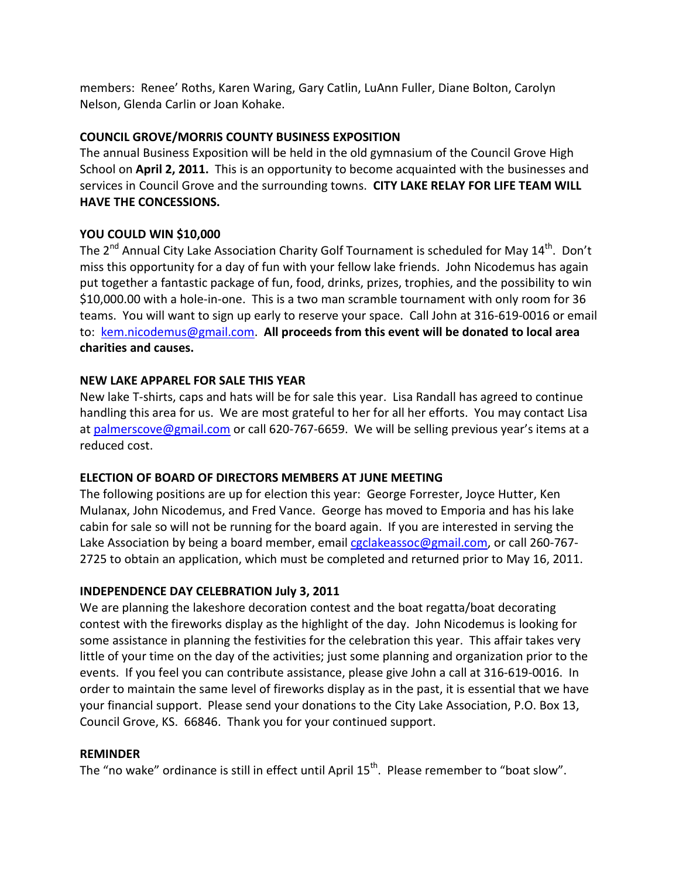members: Renee' Roths, Karen Waring, Gary Catlin, LuAnn Fuller, Diane Bolton, Carolyn Nelson, Glenda Carlin or Joan Kohake.

# **COUNCIL GROVE/MORRIS COUNTY BUSINESS EXPOSITION**

The annual Business Exposition will be held in the old gymnasium of the Council Grove High School on **April 2, 2011.** This is an opportunity to become acquainted with the businesses and services in Council Grove and the surrounding towns. **CITY LAKE RELAY FOR LIFE TEAM WILL HAVE THE CONCESSIONS.**

# **YOU COULD WIN \$10,000**

The  $2^{nd}$  Annual City Lake Association Charity Golf Tournament is scheduled for May  $14^{th}$ . Don't miss this opportunity for a day of fun with your fellow lake friends. John Nicodemus has again put together a fantastic package of fun, food, drinks, prizes, trophies, and the possibility to win \$10,000.00 with a hole-in-one. This is a two man scramble tournament with only room for 36 teams. You will want to sign up early to reserve your space. Call John at 316-619-0016 or email to: [kem.nicodemus@gmail.com.](mailto:kem.nicodemus@gmail.com) **All proceeds from this event will be donated to local area charities and causes.**

# **NEW LAKE APPAREL FOR SALE THIS YEAR**

New lake T-shirts, caps and hats will be for sale this year. Lisa Randall has agreed to continue handling this area for us. We are most grateful to her for all her efforts. You may contact Lisa at [palmerscove@gmail.com](mailto:palmerscove@gmail.com) or call 620-767-6659. We will be selling previous year's items at a reduced cost.

# **ELECTION OF BOARD OF DIRECTORS MEMBERS AT JUNE MEETING**

The following positions are up for election this year: George Forrester, Joyce Hutter, Ken Mulanax, John Nicodemus, and Fred Vance. George has moved to Emporia and has his lake cabin for sale so will not be running for the board again. If you are interested in serving the Lake Association by being a board member, email [cgclakeassoc@gmail.com,](mailto:cgclakeassoc@gmail.com) or call 260-767- 2725 to obtain an application, which must be completed and returned prior to May 16, 2011.

# **INDEPENDENCE DAY CELEBRATION July 3, 2011**

We are planning the lakeshore decoration contest and the boat regatta/boat decorating contest with the fireworks display as the highlight of the day. John Nicodemus is looking for some assistance in planning the festivities for the celebration this year. This affair takes very little of your time on the day of the activities; just some planning and organization prior to the events. If you feel you can contribute assistance, please give John a call at 316-619-0016. In order to maintain the same level of fireworks display as in the past, it is essential that we have your financial support. Please send your donations to the City Lake Association, P.O. Box 13, Council Grove, KS. 66846. Thank you for your continued support.

# **REMINDER**

The "no wake" ordinance is still in effect until April 15<sup>th</sup>. Please remember to "boat slow".